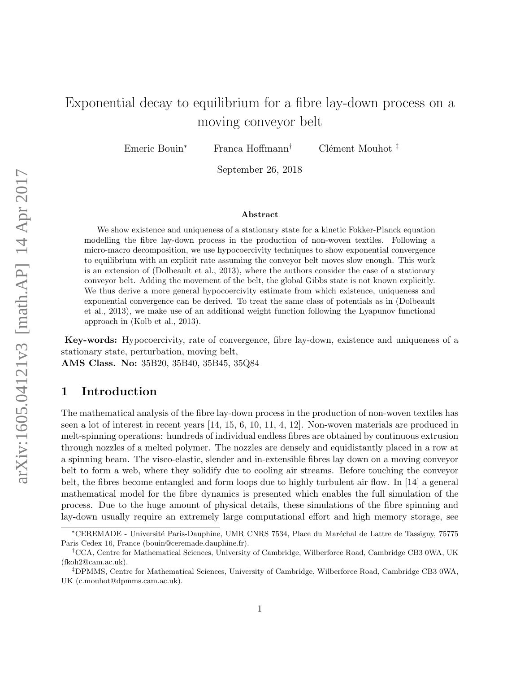# Exponential decay to equilibrium for a fibre lay-down process on a moving conveyor belt

Emeric Bouin<sup>∗</sup> Franca Hoffmann<sup>†</sup> Clément Mouhot <sup>‡</sup>

September 26, 2018

#### Abstract

We show existence and uniqueness of a stationary state for a kinetic Fokker-Planck equation modelling the fibre lay-down process in the production of non-woven textiles. Following a micro-macro decomposition, we use hypocoercivity techniques to show exponential convergence to equilibrium with an explicit rate assuming the conveyor belt moves slow enough. This work is an extension of (Dolbeault et al., 2013), where the authors consider the case of a stationary conveyor belt. Adding the movement of the belt, the global Gibbs state is not known explicitly. We thus derive a more general hypocoercivity estimate from which existence, uniqueness and exponential convergence can be derived. To treat the same class of potentials as in (Dolbeault et al., 2013), we make use of an additional weight function following the Lyapunov functional approach in (Kolb et al., 2013).

Key-words: Hypocoercivity, rate of convergence, fibre lay-down, existence and uniqueness of a stationary state, perturbation, moving belt,

AMS Class. No: 35B20, 35B40, 35B45, 35Q84

# 1 Introduction

The mathematical analysis of the fibre lay-down process in the production of non-woven textiles has seen a lot of interest in recent years [14, 15, 6, 10, 11, 4, 12]. Non-woven materials are produced in melt-spinning operations: hundreds of individual endless fibres are obtained by continuous extrusion through nozzles of a melted polymer. The nozzles are densely and equidistantly placed in a row at a spinning beam. The visco-elastic, slender and in-extensible fibres lay down on a moving conveyor belt to form a web, where they solidify due to cooling air streams. Before touching the conveyor belt, the fibres become entangled and form loops due to highly turbulent air flow. In [14] a general mathematical model for the fibre dynamics is presented which enables the full simulation of the process. Due to the huge amount of physical details, these simulations of the fibre spinning and lay-down usually require an extremely large computational effort and high memory storage, see

<sup>∗</sup>CEREMADE - Universit´e Paris-Dauphine, UMR CNRS 7534, Place du Mar´echal de Lattre de Tassigny, 75775 Paris Cedex 16, France (bouin@ceremade.dauphine.fr).

<sup>†</sup>CCA, Centre for Mathematical Sciences, University of Cambridge, Wilberforce Road, Cambridge CB3 0WA, UK (fkoh2@cam.ac.uk).

<sup>‡</sup>DPMMS, Centre for Mathematical Sciences, University of Cambridge, Wilberforce Road, Cambridge CB3 0WA, UK (c.mouhot@dpmms.cam.ac.uk).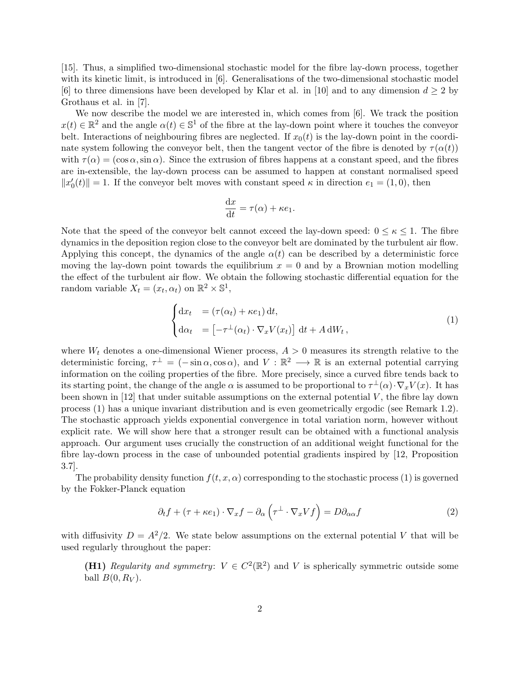[15]. Thus, a simplified two-dimensional stochastic model for the fibre lay-down process, together with its kinetic limit, is introduced in [6]. Generalisations of the two-dimensional stochastic model [6] to three dimensions have been developed by Klar et al. in [10] and to any dimension  $d \geq 2$  by Grothaus et al. in [7].

We now describe the model we are interested in, which comes from [6]. We track the position  $x(t) \in \mathbb{R}^2$  and the angle  $\alpha(t) \in \mathbb{S}^1$  of the fibre at the lay-down point where it touches the conveyor belt. Interactions of neighbouring fibres are neglected. If  $x_0(t)$  is the lay-down point in the coordinate system following the conveyor belt, then the tangent vector of the fibre is denoted by  $\tau(\alpha(t))$ with  $\tau(\alpha) = (\cos \alpha, \sin \alpha)$ . Since the extrusion of fibres happens at a constant speed, and the fibres are in-extensible, the lay-down process can be assumed to happen at constant normalised speed  $||x'_0(t)|| = 1$ . If the conveyor belt moves with constant speed  $\kappa$  in direction  $e_1 = (1, 0)$ , then

$$
\frac{\mathrm{d}x}{\mathrm{d}t} = \tau(\alpha) + \kappa e_1.
$$

Note that the speed of the conveyor belt cannot exceed the lay-down speed:  $0 \leq \kappa \leq 1$ . The fibre dynamics in the deposition region close to the conveyor belt are dominated by the turbulent air flow. Applying this concept, the dynamics of the angle  $\alpha(t)$  can be described by a deterministic force moving the lay-down point towards the equilibrium  $x = 0$  and by a Brownian motion modelling the effect of the turbulent air flow. We obtain the following stochastic differential equation for the random variable  $X_t = (x_t, \alpha_t)$  on  $\mathbb{R}^2 \times \mathbb{S}^1$ ,

$$
\begin{cases} dx_t &= (\tau(\alpha_t) + \kappa e_1) dt, \\ d\alpha_t &= [-\tau^{\perp}(\alpha_t) \cdot \nabla_x V(x_t)] dt + A dW_t, \end{cases}
$$
 (1)

where  $W_t$  denotes a one-dimensional Wiener process,  $A > 0$  measures its strength relative to the deterministic forcing,  $\tau^{\perp} = (-\sin \alpha, \cos \alpha)$ , and  $V : \mathbb{R}^2 \longrightarrow \mathbb{R}$  is an external potential carrying information on the coiling properties of the fibre. More precisely, since a curved fibre tends back to its starting point, the change of the angle  $\alpha$  is assumed to be proportional to  $\tau^{\perp}(\alpha) \cdot \nabla_x V(x)$ . It has been shown in  $[12]$  that under suitable assumptions on the external potential  $V$ , the fibre lay down process (1) has a unique invariant distribution and is even geometrically ergodic (see Remark 1.2). The stochastic approach yields exponential convergence in total variation norm, however without explicit rate. We will show here that a stronger result can be obtained with a functional analysis approach. Our argument uses crucially the construction of an additional weight functional for the fibre lay-down process in the case of unbounded potential gradients inspired by [12, Proposition 3.7].

The probability density function  $f(t, x, \alpha)$  corresponding to the stochastic process (1) is governed by the Fokker-Planck equation

$$
\partial_t f + (\tau + \kappa e_1) \cdot \nabla_x f - \partial_\alpha \left( \tau^\perp \cdot \nabla_x V f \right) = D \partial_{\alpha \alpha} f \tag{2}
$$

with diffusivity  $D = A^2/2$ . We state below assumptions on the external potential V that will be used regularly throughout the paper:

(H1) Regularity and symmetry:  $V \in C^2(\mathbb{R}^2)$  and V is spherically symmetric outside some ball  $B(0, R_V)$ .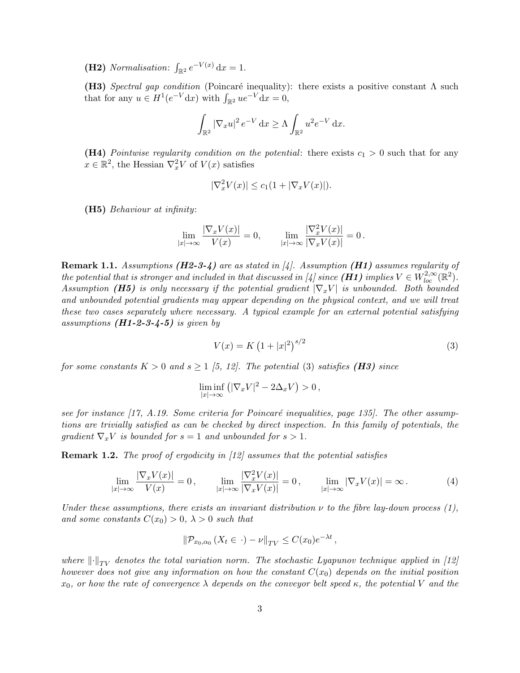(H2) Normalisation:  $\int_{\mathbb{R}^2} e^{-V(x)} dx = 1$ .

(H3) Spectral gap condition (Poincaré inequality): there exists a positive constant  $\Lambda$  such that for any  $u \in H^1(e^{-V} dx)$  with  $\int_{\mathbb{R}^2} u e^{-V} dx = 0$ ,

$$
\int_{\mathbb{R}^2} |\nabla_x u|^2 e^{-V} dx \ge \Lambda \int_{\mathbb{R}^2} u^2 e^{-V} dx.
$$

(H4) Pointwise regularity condition on the potential: there exists  $c_1 > 0$  such that for any  $x \in \mathbb{R}^2$ , the Hessian  $\nabla_x^2 V$  of  $V(x)$  satisfies

$$
|\nabla_x^2 V(x)| \le c_1(1 + |\nabla_x V(x)|).
$$

(H5) Behaviour at infinity:

$$
\lim_{|x|\to\infty}\frac{|\nabla_x V(x)|}{V(x)}=0,\qquad \lim_{|x|\to\infty}\frac{|\nabla_x^2 V(x)|}{|\nabla_x V(x)|}=0\,.
$$

**Remark 1.1.** Assumptions ( $H2-3-4$ ) are as stated in [4]. Assumption ( $H1$ ) assumes regularity of the potential that is stronger and included in that discussed in [4] since  $(H1)$  implies  $V \in W^{2,\infty}_{loc}(\mathbb{R}^2)$ . Assumption (H5) is only necessary if the potential gradient  $|\nabla_x V|$  is unbounded. Both bounded and unbounded potential gradients may appear depending on the physical context, and we will treat these two cases separately where necessary. A typical example for an external potential satisfying assumptions  $(H1-2-3-4-5)$  is given by

$$
V(x) = K \left(1 + |x|^2\right)^{s/2} \tag{3}
$$

for some constants  $K > 0$  and  $s \geq 1$  [5, 12]. The potential (3) satisfies (**H3)** since

$$
\liminf_{|x| \to \infty} (|\nabla_x V|^2 - 2\Delta_x V) > 0,
$$

see for instance  $(17, A.19.$  Some criteria for Poincaré inequalities, page 135. The other assumptions are trivially satisfied as can be checked by direct inspection. In this family of potentials, the qradient  $\nabla_x V$  is bounded for  $s = 1$  and unbounded for  $s > 1$ .

**Remark 1.2.** The proof of ergodicity in [12] assumes that the potential satisfies

$$
\lim_{|x| \to \infty} \frac{|\nabla_x V(x)|}{V(x)} = 0, \qquad \lim_{|x| \to \infty} \frac{|\nabla_x^2 V(x)|}{|\nabla_x V(x)|} = 0, \qquad \lim_{|x| \to \infty} |\nabla_x V(x)| = \infty.
$$
 (4)

Under these assumptions, there exists an invariant distribution  $\nu$  to the fibre lay-down process (1), and some constants  $C(x_0) > 0$ ,  $\lambda > 0$  such that

$$
\|\mathcal{P}_{x_0,\alpha_0}\left(X_t\in\cdot\right)-\nu\|_{TV}\leq C(x_0)e^{-\lambda t},
$$

where  $\lVert \cdot \rVert_{TV}$  denotes the total variation norm. The stochastic Lyapunov technique applied in [12] however does not give any information on how the constant  $C(x_0)$  depends on the initial position  $x_0$ , or how the rate of convergence  $\lambda$  depends on the conveyor belt speed  $\kappa$ , the potential V and the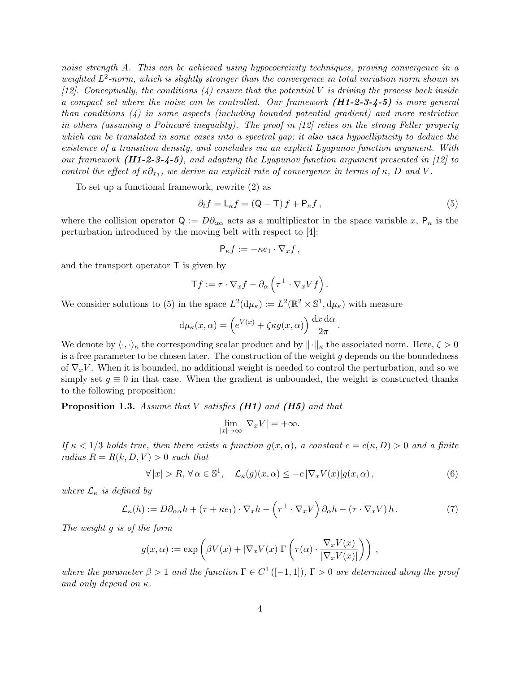noise strength A. This can be achieved using hypocoercivity techniques, proving convergence in a weighted  $L^2$ -norm, which is slightly stronger than the convergence in total variation norm shown in [12]. Conceptually, the conditions  $(4)$  ensure that the potential V is driving the process back inside a compact set where the noise can be controlled. Our framework  $(H1-2-3-4-5)$  is more general than conditions (4) in some aspects (including bounded potential gradient) and more restrictive in others (assuming a Poincaré inequality). The proof in  $[12]$  relies on the strong Feller property which can be translated in some cases into a spectral gap; it also uses hypoellipticity to deduce the existence of a transition density, and concludes via an explicit Lyapunov function argument. With our framework  $(H1-2-3-4-5)$ , and adapting the Lyapunov function argument presented in [12] to control the effect of  $\kappa \partial_{x_1}$ , we derive an explicit rate of convergence in terms of  $\kappa$ , D and V.

To set up a functional framework, rewrite (2) as

$$
\partial_t f = \mathsf{L}_{\kappa} f = (\mathsf{Q} - \mathsf{T}) f + \mathsf{P}_{\kappa} f,\tag{5}
$$

where the collision operator  $Q := D\partial_{\alpha\alpha}$  acts as a multiplicator in the space variable x,  $P_{\kappa}$  is the perturbation introduced by the moving belt with respect to [4]:

$$
\mathsf{P}_{\kappa}f := -\kappa e_1 \cdot \nabla_x f \,,
$$

and the transport operator  $\mathsf T$  is given by

$$
\mathsf{T} f := \tau \cdot \nabla_x f - \partial_\alpha \left( \tau^\perp \cdot \nabla_x V f \right).
$$

We consider solutions to (5) in the space  $L^2(d\mu_{\kappa}) := L^2(\mathbb{R}^2 \times \mathbb{S}^1, d\mu_{\kappa})$  with measure

$$
d\mu_{\kappa}(x,\alpha) = \left(e^{V(x)} + \zeta \kappa g(x,\alpha)\right) \frac{dx \, d\alpha}{2\pi}.
$$

We denote by  $\langle \cdot, \cdot \rangle_{\kappa}$  the corresponding scalar product and by  $\|\cdot\|_{\kappa}$  the associated norm. Here,  $\zeta > 0$ is a free parameter to be chosen later. The construction of the weight  $g$  depends on the boundedness of  $\nabla_x V$ . When it is bounded, no additional weight is needed to control the perturbation, and so we simply set  $g \equiv 0$  in that case. When the gradient is unbounded, the weight is constructed thanks to the following proposition:

**Proposition 1.3.** Assume that V satisfies  $(H1)$  and  $(H5)$  and that

$$
\lim_{|x| \to \infty} |\nabla_x V| = +\infty.
$$

If  $\kappa < 1/3$  holds true, then there exists a function  $g(x, \alpha)$ , a constant  $c = c(\kappa, D) > 0$  and a finite radius  $R = R(k, D, V) > 0$  such that

$$
\forall |x| > R, \forall \alpha \in \mathbb{S}^1, \quad \mathcal{L}_{\kappa}(g)(x,\alpha) \leq -c |\nabla_x V(x)| g(x,\alpha), \tag{6}
$$

where  $\mathcal{L}_{\kappa}$  is defined by

$$
\mathcal{L}_{\kappa}(h) := D\partial_{\alpha\alpha}h + (\tau + \kappa e_1) \cdot \nabla_x h - \left(\tau^{\perp} \cdot \nabla_x V\right)\partial_{\alpha}h - \left(\tau \cdot \nabla_x V\right)h. \tag{7}
$$

The weight g is of the form

$$
g(x,\alpha) := \exp\left(\beta V(x) + |\nabla_x V(x)| \Gamma\left(\tau(\alpha) \cdot \frac{\nabla_x V(x)}{|\nabla_x V(x)|}\right)\right),
$$

where the parameter  $\beta > 1$  and the function  $\Gamma \in C^1([-1,1])$ ,  $\Gamma > 0$  are determined along the proof and only depend on  $\kappa$ .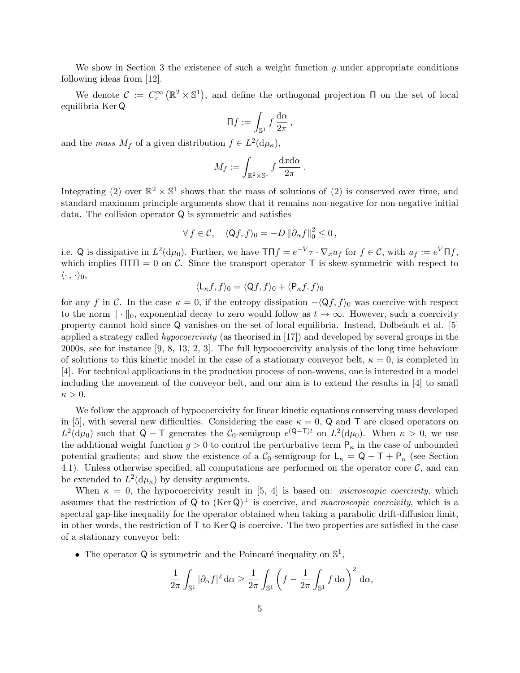We show in Section 3 the existence of such a weight function g under appropriate conditions following ideas from [12].

We denote  $\mathcal{C} := C_c^{\infty}(\mathbb{R}^2 \times \mathbb{S}^1)$ , and define the orthogonal projection  $\Pi$  on the set of local equilibria Ker Q

$$
\Pi f := \int_{\mathbb{S}^1} f \frac{\mathrm{d}\alpha}{2\pi},
$$

and the *mass*  $M_f$  of a given distribution  $f \in L^2(\mathrm{d}\mu_\kappa)$ ,

$$
M_f := \int_{\mathbb{R}^2 \times \mathbb{S}^1} f \frac{dx d\alpha}{2\pi}.
$$

Integrating (2) over  $\mathbb{R}^2 \times \mathbb{S}^1$  shows that the mass of solutions of (2) is conserved over time, and standard maximum principle arguments show that it remains non-negative for non-negative initial data. The collision operator Q is symmetric and satisfies

$$
\forall f \in \mathcal{C}, \quad \langle \mathsf{Q}f, f \rangle_0 = -D \left\| \partial_{\alpha}f \right\|_0^2 \leq 0,
$$

i.e. Q is dissipative in  $L^2(\mathrm{d}\mu_0)$ . Further, we have  $T \Pi f = e^{-V} \tau \cdot \nabla_x u_f$  for  $f \in \mathcal{C}$ , with  $u_f := e^V \Pi f$ , which implies  $\Pi \Pi = 0$  on C. Since the transport operator T is skew-symmetric with respect to  $\langle \cdot , \cdot \rangle_0,$ 

$$
\langle \mathsf{L}_{\kappa} f, f \rangle_0 = \langle \mathsf{Q} f, f \rangle_0 + \langle \mathsf{P}_{\kappa} f, f \rangle_0
$$

for any f in C. In the case  $\kappa = 0$ , if the entropy dissipation  $-\langle Qf, f \rangle_0$  was coercive with respect to the norm  $\|\cdot\|_0$ , exponential decay to zero would follow as  $t \to \infty$ . However, such a coercivity property cannot hold since Q vanishes on the set of local equilibria. Instead, Dolbeault et al. [5] applied a strategy called hypocoercivity (as theorised in [17]) and developed by several groups in the 2000s, see for instance [9, 8, 13, 2, 3]. The full hypocoercivity analysis of the long time behaviour of solutions to this kinetic model in the case of a stationary conveyor belt,  $\kappa = 0$ , is completed in [4]. For technical applications in the production process of non-wovens, one is interested in a model including the movement of the conveyor belt, and our aim is to extend the results in [4] to small  $\kappa > 0$ .

We follow the approach of hypocoercivity for linear kinetic equations conserving mass developed in [5], with several new difficulties. Considering the case  $\kappa = 0$ , Q and T are closed operators on  $L^2(\mathrm{d}\mu_0)$  such that  $Q - T$  generates the  $C_0$ -semigroup  $e^{(Q-T)t}$  on  $L^2(\mathrm{d}\mu_0)$ . When  $\kappa > 0$ , we use the additional weight function  $g > 0$  to control the perturbative term  $P_{\kappa}$  in the case of unbounded potential gradients; and show the existence of a  $C_0$ -semigroup for  $L_{\kappa} = Q - T + P_{\kappa}$  (see Section 4.1). Unless otherwise specified, all computations are performed on the operator core  $\mathcal{C}$ , and can be extended to  $L^2(\mathrm{d}\mu_{\kappa})$  by density arguments.

When  $\kappa = 0$ , the hypocoercivity result in [5, 4] is based on: *microscopic coercivity*, which assumes that the restriction of Q to  $(\text{Ker }Q)^{\perp}$  is coercive, and macroscopic coercivity, which is a spectral gap-like inequality for the operator obtained when taking a parabolic drift-diffusion limit, in other words, the restriction of  $\mathsf{T}$  to Ker Q is coercive. The two properties are satisfied in the case of a stationary conveyor belt:

• The operator Q is symmetric and the Poincaré inequality on  $\mathbb{S}^1$ ,

$$
\frac{1}{2\pi} \int_{\mathbb{S}^1} |\partial_{\alpha} f|^2 \, d\alpha \ge \frac{1}{2\pi} \int_{\mathbb{S}^1} \left( f - \frac{1}{2\pi} \int_{\mathbb{S}^1} f \, d\alpha \right)^2 \, d\alpha,
$$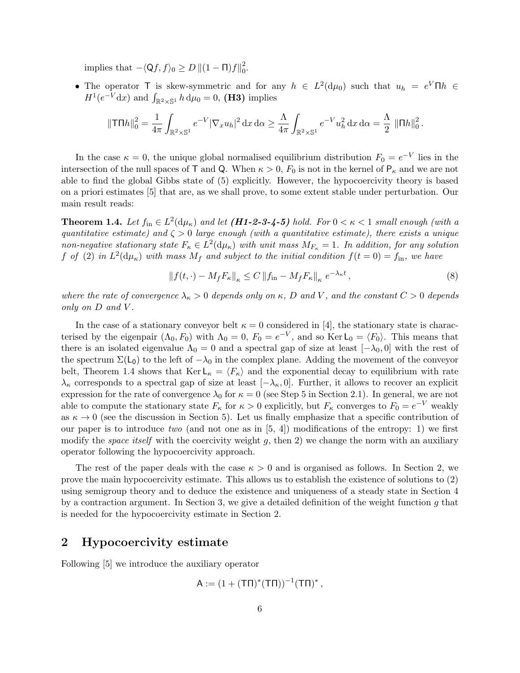implies that  $-\langle Qf, f\rangle_0 \geq D ||(1 - \Pi)f||_0^2$ 2<br>0.

• The operator T is skew-symmetric and for any  $h \in L^2(\mathrm{d}\mu_0)$  such that  $u_h = e^V \Pi h \in$  $H^1(e^{-V}dx)$  and  $\int_{\mathbb{R}^2\times\mathbb{S}^1} h d\mu_0=0$ , (**H3**) implies

$$
\|\mathsf{T} \Pi h\|_0^2 = \frac{1}{4\pi} \int_{\mathbb{R}^2 \times \mathbb{S}^1} e^{-V} |\nabla_x u_h|^2 \, \mathrm{d}x \, \mathrm{d}\alpha \ge \frac{\Lambda}{4\pi} \int_{\mathbb{R}^2 \times \mathbb{S}^1} e^{-V} u_h^2 \, \mathrm{d}x \, \mathrm{d}\alpha = \frac{\Lambda}{2} \, \|\Pi h\|_0^2 \, .
$$

In the case  $\kappa = 0$ , the unique global normalised equilibrium distribution  $F_0 = e^{-V}$  lies in the intersection of the null spaces of T and Q. When  $\kappa > 0$ ,  $F_0$  is not in the kernel of  $P_{\kappa}$  and we are not able to find the global Gibbs state of (5) explicitly. However, the hypocoercivity theory is based on a priori estimates [5] that are, as we shall prove, to some extent stable under perturbation. Our main result reads:

**Theorem 1.4.** Let  $f_{\text{in}} \in L^2(\text{d}\mu_\kappa)$  and let  $(H1-2-3-4-5)$  hold. For  $0 < \kappa < 1$  small enough (with a quantitative estimate) and  $\zeta > 0$  large enough (with a quantitative estimate), there exists a unique non-negative stationary state  $F_{\kappa} \in L^2(\mathrm{d}\mu_{\kappa})$  with unit mass  $M_{F_{\kappa}} = 1$ . In addition, for any solution f of (2) in  $L^2(\mathrm{d}\mu_{\kappa})$  with mass  $M_f$  and subject to the initial condition  $f(t=0) = f_{\text{in}}$ , we have

$$
\left\|f(t,\cdot) - M_f F_{\kappa}\right\|_{\kappa} \le C \left\|f_{\text{in}} - M_f F_{\kappa}\right\|_{\kappa} e^{-\lambda_{\kappa} t},\tag{8}
$$

where the rate of convergence  $\lambda_{\kappa} > 0$  depends only on  $\kappa$ , D and V, and the constant  $C > 0$  depends only on D and V .

In the case of a stationary conveyor belt  $\kappa = 0$  considered in [4], the stationary state is characterised by the eigenpair  $(\Lambda_0, F_0)$  with  $\Lambda_0 = 0$ ,  $F_0 = e^{-V}$ , and so Ker  $\mathsf{L}_0 = \langle F_0 \rangle$ . This means that there is an isolated eigenvalue  $\Lambda_0 = 0$  and a spectral gap of size at least  $[-\lambda_0, 0]$  with the rest of the spectrum  $\Sigma(L_0)$  to the left of  $-\lambda_0$  in the complex plane. Adding the movement of the conveyor belt, Theorem 1.4 shows that  $\text{Ker } L_{\kappa} = \langle F_{\kappa} \rangle$  and the exponential decay to equilibrium with rate  $\lambda_{\kappa}$  corresponds to a spectral gap of size at least  $[-\lambda_{\kappa}, 0]$ . Further, it allows to recover an explicit expression for the rate of convergence  $\lambda_0$  for  $\kappa = 0$  (see Step 5 in Section 2.1). In general, we are not able to compute the stationary state  $F_{\kappa}$  for  $\kappa > 0$  explicitly, but  $F_{\kappa}$  converges to  $F_0 = e^{-V}$  weakly as  $\kappa \to 0$  (see the discussion in Section 5). Let us finally emphasize that a specific contribution of our paper is to introduce two (and not one as in  $[5, 4]$ ) modifications of the entropy: 1) we first modify the *space itself* with the coercivity weight g, then 2) we change the norm with an auxiliary operator following the hypocoercivity approach.

The rest of the paper deals with the case  $\kappa > 0$  and is organised as follows. In Section 2, we prove the main hypocoercivity estimate. This allows us to establish the existence of solutions to (2) using semigroup theory and to deduce the existence and uniqueness of a steady state in Section 4 by a contraction argument. In Section 3, we give a detailed definition of the weight function  $q$  that is needed for the hypocoercivity estimate in Section 2.

### 2 Hypocoercivity estimate

Following [5] we introduce the auxiliary operator

$$
A := (1 + (T\Pi)^*(T\Pi))^{-1}(T\Pi)^*,
$$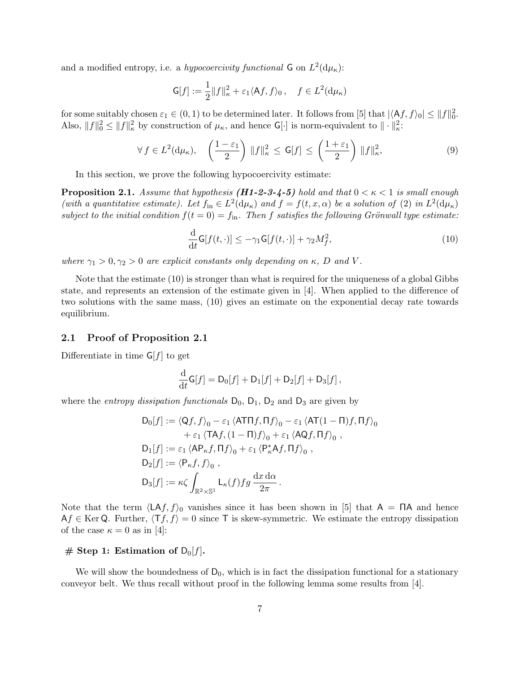and a modified entropy, i.e. a hypocoercivity functional  $G$  on  $L^2(d\mu_{\kappa})$ :

$$
\mathsf{G}[f] := \frac{1}{2} ||f||_{\kappa}^2 + \varepsilon_1 \langle \mathsf{A}f, f \rangle_0, \quad f \in L^2(\mathrm{d}\mu_{\kappa})
$$

for some suitably chosen  $\varepsilon_1 \in (0, 1)$  to be determined later. It follows from [5] that  $|\langle Af, f \rangle_0| \leq ||f||_0^2$ . Also,  $||f||_0^2 \le ||f||_{\kappa}^2$  by construction of  $\mu_{\kappa}$ , and hence  $\mathsf{G}[\cdot]$  is norm-equivalent to  $||\cdot||_{\kappa}^2$ .

$$
\forall f \in L^{2}(\mathbf{d}\mu_{\kappa}), \quad \left(\frac{1-\varepsilon_{1}}{2}\right) \|f\|_{\kappa}^{2} \leq \mathsf{G}[f] \leq \left(\frac{1+\varepsilon_{1}}{2}\right) \|f\|_{\kappa}^{2},\tag{9}
$$

In this section, we prove the following hypocoercivity estimate:

**Proposition 2.1.** Assume that hypothesis (**H1-2-3-4-5**) hold and that  $0 < \kappa < 1$  is small enough (with a quantitative estimate). Let  $f_{\text{in}} \in L^2(\mathrm{d}\mu_\kappa)$  and  $f = f(t, x, \alpha)$  be a solution of (2) in  $L^2(\mathrm{d}\mu_\kappa)$ subject to the initial condition  $f(t = 0) = f_{\text{in}}$ . Then f satisfies the following Grönwall type estimate:

$$
\frac{\mathrm{d}}{\mathrm{d}t}\mathsf{G}[f(t,\cdot)] \le -\gamma_1 \mathsf{G}[f(t,\cdot)] + \gamma_2 M_f^2,\tag{10}
$$

where  $\gamma_1 > 0, \gamma_2 > 0$  are explicit constants only depending on  $\kappa$ , D and V.

Note that the estimate (10) is stronger than what is required for the uniqueness of a global Gibbs state, and represents an extension of the estimate given in [4]. When applied to the difference of two solutions with the same mass, (10) gives an estimate on the exponential decay rate towards equilibrium.

#### 2.1 Proof of Proposition 2.1

Differentiate in time  $G[f]$  to get

$$
\frac{\mathrm{d}}{\mathrm{d}t}\mathsf{G}[f] = \mathsf{D}_0[f] + \mathsf{D}_1[f] + \mathsf{D}_2[f] + \mathsf{D}_3[f],
$$

where the *entropy dissipation functionals*  $D_0$ ,  $D_1$ ,  $D_2$  and  $D_3$  are given by

$$
D_0[f] := \langle Qf, f \rangle_0 - \varepsilon_1 \langle ATTf, \Pi f \rangle_0 - \varepsilon_1 \langle AT(1-\Pi)f, \Pi f \rangle_0
$$
  
+  $\varepsilon_1 \langle TAf, (1-\Pi)f \rangle_0 + \varepsilon_1 \langle AQf, \Pi f \rangle_0$ ,  

$$
D_1[f] := \varepsilon_1 \langle AP_{\kappa}f, \Pi f \rangle_0 + \varepsilon_1 \langle P_{\kappa}^*Af, \Pi f \rangle_0,
$$
  

$$
D_2[f] := \langle P_{\kappa}f, f \rangle_0,
$$
  

$$
D_3[f] := \kappa \zeta \int_{\mathbb{R}^2 \times \mathbb{S}^1} L_{\kappa}(f) fg \frac{dx d\alpha}{2\pi}.
$$

Note that the term  $\langle \mathsf{LA}f, f \rangle_0$  vanishes since it has been shown in [5] that  $\mathsf{A} = \mathsf{TA}$  and hence  $Af \in \text{Ker } Q$ . Further,  $\langle Tf, f \rangle = 0$  since T is skew-symmetric. We estimate the entropy dissipation of the case  $\kappa = 0$  as in [4]:

### # Step 1: Estimation of  $D_0[f]$ .

We will show the boundedness of  $D_0$ , which is in fact the dissipation functional for a stationary conveyor belt. We thus recall without proof in the following lemma some results from [4].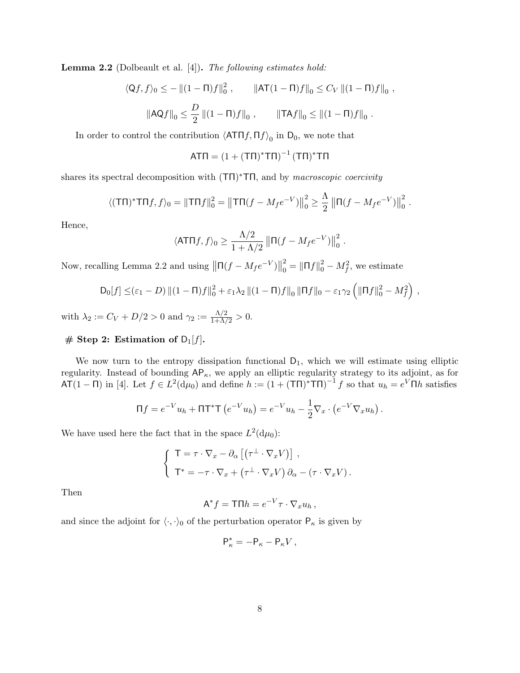**Lemma 2.2** (Dolbeault et al. [4]). The following estimates hold:

$$
\langle Qf, f\rangle_0 \le -\left\|(1-\Pi)f\right\|_0^2, \qquad \left\|\mathbf{AT}(1-\Pi)f\right\|_0 \le C_V \left\|(1-\Pi)f\right\|_0,
$$

$$
\|\mathbf{AQ}f\|_0 \le \frac{D}{2} \left\|(1-\Pi)f\right\|_0, \qquad \left\|\mathbf{TA}f\right\|_0 \le \left\|(1-\Pi)f\right\|_0.
$$

In order to control the contribution  $\langle \mathsf{ATn} f, \mathsf{\Pi} f \rangle_0$  in  $\mathsf{D}_0$ , we note that

$$
\mathsf{AT}\Pi = (1+(\mathsf{T}\Pi)^*\mathsf{T}\Pi)^{-1}(\mathsf{T}\Pi)^*\mathsf{T}\Pi
$$

shares its spectral decomposition with  $(T\Pi)^* T\Pi$ , and by *macroscopic coercivity* 

$$
\langle (\mathsf{T}\Pi)^* \mathsf{T}\Pi f, f \rangle_0 = \|\mathsf{T}\Pi f\|_0^2 = \left\|\mathsf{T}\Pi (f - M_f e^{-V})\right\|_0^2 \ge \frac{\Lambda}{2} \left\|\Pi (f - M_f e^{-V})\right\|_0^2.
$$

Hence,

$$
\langle \mathsf{ATT}f, f \rangle_0 \ge \frac{\Lambda/2}{1 + \Lambda/2} ||\mathsf{\Pi}(f - M_f e^{-V})||_0^2.
$$

Now, recalling Lemma 2.2 and using  $\left\| \Pi(f - M_f e^{-V}) \right\|$ 2  $\binom{2}{0} = ||\Pi f||_0^2 - M_f^2$ , we estimate

$$
D_0[f] \leq (\varepsilon_1 - D) ||(1 - \Pi)f||_0^2 + \varepsilon_1 \lambda_2 ||(1 - \Pi)f||_0 ||\Pi f||_0 - \varepsilon_1 \gamma_2 \left(||\Pi f||_0^2 - M_f^2\right),
$$

with  $\lambda_2 := C_V + D/2 > 0$  and  $\gamma_2 := \frac{\Lambda/2}{1 + \Lambda/2} > 0$ .

### # Step 2: Estimation of  $D_1[f]$ .

We now turn to the entropy dissipation functional  $D_1$ , which we will estimate using elliptic regularity. Instead of bounding  $AP_{\kappa}$ , we apply an elliptic regularity strategy to its adjoint, as for  $\mathsf{AT}(1-\mathsf{\Pi})$  in [4]. Let  $f \in L^2(\mathsf{d}\mu_0)$  and define  $h := (1 + (\mathsf{TT})^* \mathsf{TT} \mathsf{\Pi})^{-1} f$  so that  $u_h = e^V \mathsf{\Pi} h$  satisfies

$$
\Pi f = e^{-V}u_h + \Pi T^*T (e^{-V}u_h) = e^{-V}u_h - \frac{1}{2}\nabla_x \cdot (e^{-V}\nabla_x u_h).
$$

We have used here the fact that in the space  $L^2(\mathrm{d}\mu_0)$ :

$$
\begin{cases}\n\mathsf{T} = \tau \cdot \nabla_x - \partial_\alpha \left[ \left( \tau^\perp \cdot \nabla_x V \right) \right], \\
\mathsf{T}^* = -\tau \cdot \nabla_x + \left( \tau^\perp \cdot \nabla_x V \right) \partial_\alpha - \left( \tau \cdot \nabla_x V \right). \n\end{cases}
$$

Then

$$
A^* f = \mathsf{T} \Pi h = e^{-V} \tau \cdot \nabla_x u_h \,,
$$

and since the adjoint for  $\langle \cdot, \cdot \rangle_0$  of the perturbation operator  $P_{\kappa}$  is given by

$$
\mathsf{P}_\kappa^* = -\mathsf{P}_\kappa - \mathsf{P}_\kappa V \,,
$$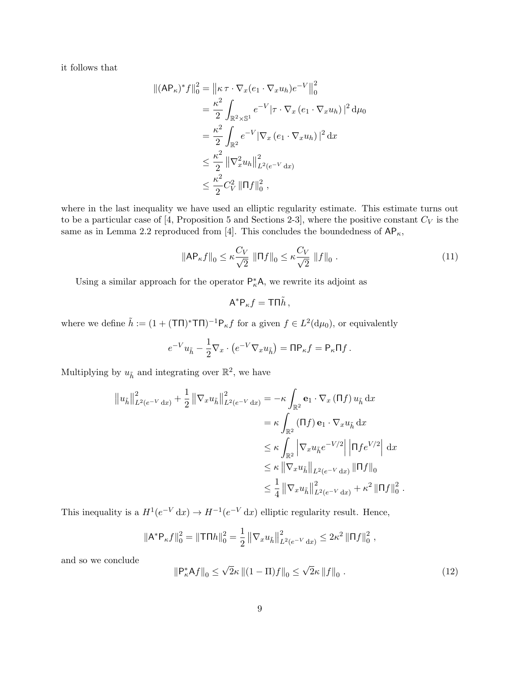it follows that

$$
\begin{split} \|(\mathsf{AP}_{\kappa})^{*} f\|_{0}^{2} &= \left\| \kappa \,\tau \cdot \nabla_{x}(e_{1} \cdot \nabla_{x} u_{h}) e^{-V} \right\|_{0}^{2} \\ &= \frac{\kappa^{2}}{2} \int_{\mathbb{R}^{2} \times \mathbb{S}^{1}} e^{-V} |\tau \cdot \nabla_{x} (e_{1} \cdot \nabla_{x} u_{h})|^{2} \, \mathrm{d} \mu_{0} \\ &= \frac{\kappa^{2}}{2} \int_{\mathbb{R}^{2}} e^{-V} |\nabla_{x} (e_{1} \cdot \nabla_{x} u_{h})|^{2} \, \mathrm{d} x \\ &\leq \frac{\kappa^{2}}{2} \left\| \nabla_{x}^{2} u_{h} \right\|_{L^{2}(e^{-V} \, \mathrm{d} x)}^{2} \\ &\leq \frac{\kappa^{2}}{2} C_{V}^{2} \left\| \Pi f \right\|_{0}^{2} , \end{split}
$$

where in the last inequality we have used an elliptic regularity estimate. This estimate turns out to be a particular case of [4, Proposition 5 and Sections 2-3], where the positive constant  $C_V$  is the same as in Lemma 2.2 reproduced from [4]. This concludes the boundedness of  $AP_{\kappa}$ ,

$$
\|\mathsf{AP}_{\kappa}f\|_{0} \leq \kappa \frac{C_V}{\sqrt{2}} \|\Pi f\|_{0} \leq \kappa \frac{C_V}{\sqrt{2}} \|f\|_{0} \tag{11}
$$

Using a similar approach for the operator  $P_{\kappa}^* A$ , we rewrite its adjoint as

$$
\mathsf{A}^*\mathsf{P}_\kappa f=\mathsf{T}\mathsf{\Pi}\tilde{h}\,,
$$

where we define  $\tilde{h} := (1 + (T\Pi)^* T\Pi)^{-1} P_{\kappa} f$  for a given  $f \in L^2(\mathrm{d}\mu_0)$ , or equivalently

$$
e^{-V}u_{\tilde{h}} - \frac{1}{2}\nabla_x \cdot \left(e^{-V}\nabla_x u_{\tilde{h}}\right) = \Pi \mathsf{P}_{\kappa} f = \mathsf{P}_{\kappa} \Pi f.
$$

Multiplying by  $u_{\tilde{h}}$  and integrating over  $\mathbb{R}^2$ , we have

$$
\|u_{\tilde{h}}\|_{L^{2}(e^{-V} dx)}^{2} + \frac{1}{2} \|\nabla_{x} u_{\tilde{h}}\|_{L^{2}(e^{-V} dx)}^{2} = -\kappa \int_{\mathbb{R}^{2}} \mathbf{e}_{1} \cdot \nabla_{x} (\Pi f) u_{\tilde{h}} dx
$$
  
\n
$$
= \kappa \int_{\mathbb{R}^{2}} (\Pi f) \mathbf{e}_{1} \cdot \nabla_{x} u_{\tilde{h}} dx
$$
  
\n
$$
\leq \kappa \int_{\mathbb{R}^{2}} \left| \nabla_{x} u_{\tilde{h}} e^{-V/2} \right| \left| \Pi f e^{V/2} \right| dx
$$
  
\n
$$
\leq \kappa \left\| \nabla_{x} u_{\tilde{h}} \right\|_{L^{2}(e^{-V} dx)} \|\Pi f\|_{0}
$$
  
\n
$$
\leq \frac{1}{4} \left\| \nabla_{x} u_{\tilde{h}} \right\|_{L^{2}(e^{-V} dx)}^{2} + \kappa^{2} \|\Pi f\|_{0}^{2}
$$

This inequality is a  $H^1(e^{-V} dx) \to H^{-1}(e^{-V} dx)$  elliptic regularity result. Hence,

$$
\|\mathsf{A}^*\mathsf{P}_\kappa f\|_0^2 = \|\mathsf{T}\mathsf{\Pi} h\|_0^2 = \frac{1}{2} \left\|\nabla_x u_{\tilde{h}}\right\|_{L^2(e^{-V} \, \mathrm{d}x)}^2 \leq 2\kappa^2 \|\mathsf{\Pi} f\|_0^2,
$$

and so we conclude

$$
\|\mathsf{P}_{\kappa}^* \mathsf{A} f\|_0 \le \sqrt{2}\kappa \left\|(1-\Pi)f\right\|_0 \le \sqrt{2}\kappa \left\|f\right\|_0. \tag{12}
$$

.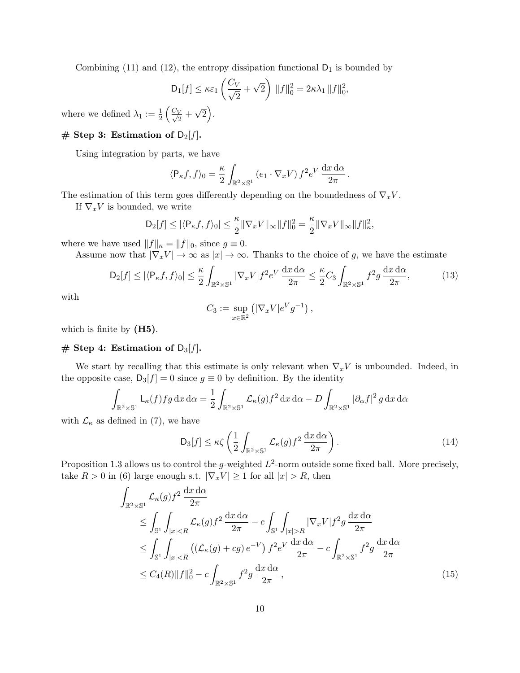Combining (11) and (12), the entropy dissipation functional  $D_1$  is bounded by

$$
\mathsf{D}_1[f] \leq \kappa \varepsilon_1 \left(\frac{C_V}{\sqrt{2}} + \sqrt{2}\right) \|f\|_0^2 = 2\kappa \lambda_1 \|f\|_0^2
$$

,

where we defined  $\lambda_1 := \frac{1}{2} \left( \frac{C_V}{\sqrt{2}} + \right)$ √  $\overline{2}$ .

### $#$  Step 3: Estimation of  $D_2[f]$ .

Using integration by parts, we have

$$
\langle P_{\kappa}f, f \rangle_0 = \frac{\kappa}{2} \int_{\mathbb{R}^2 \times \mathbb{S}^1} \left( e_1 \cdot \nabla_x V \right) f^2 e^V \frac{dx \, d\alpha}{2\pi} \, .
$$

The estimation of this term goes differently depending on the boundedness of  $\nabla_x V$ .

If  $\nabla_x V$  is bounded, we write

$$
\mathsf{D}_2[f] \le |\langle \mathsf{P}_{\kappa}f, f \rangle_0| \le \frac{\kappa}{2} ||\nabla_x V||_{\infty} ||f||_0^2 = \frac{\kappa}{2} ||\nabla_x V||_{\infty} ||f||_{\kappa}^2,
$$

where we have used  $||f||_{\kappa} = ||f||_0$ , since  $g \equiv 0$ .

Assume now that  $|\nabla_x V| \to \infty$  as  $|x| \to \infty$ . Thanks to the choice of g, we have the estimate

$$
\mathsf{D}_2[f] \le |\langle \mathsf{P}_{\kappa}f, f \rangle_0| \le \frac{\kappa}{2} \int_{\mathbb{R}^2 \times \mathbb{S}^1} |\nabla_x V| f^2 e^V \frac{dx \, d\alpha}{2\pi} \le \frac{\kappa}{2} C_3 \int_{\mathbb{R}^2 \times \mathbb{S}^1} f^2 g \, \frac{dx \, d\alpha}{2\pi},\tag{13}
$$

with

$$
C_3 := \sup_{x \in \mathbb{R}^2} \left( |\nabla_x V| e^V g^{-1} \right),
$$

which is finite by  $(H5)$ .

# # Step 4: Estimation of  $D_3[f]$ .

We start by recalling that this estimate is only relevant when  $\nabla_x V$  is unbounded. Indeed, in the opposite case,  $D_3[f] = 0$  since  $g \equiv 0$  by definition. By the identity

$$
\int_{\mathbb{R}^2 \times \mathbb{S}^1} \mathsf{L}_{\kappa}(f) f g \, dx \, d\alpha = \frac{1}{2} \int_{\mathbb{R}^2 \times \mathbb{S}^1} \mathcal{L}_{\kappa}(g) f^2 \, dx \, d\alpha - D \int_{\mathbb{R}^2 \times \mathbb{S}^1} |\partial_{\alpha} f|^2 g \, dx \, d\alpha
$$

with  $\mathcal{L}_{\kappa}$  as defined in (7), we have

$$
\mathsf{D}_3[f] \leq \kappa \zeta \left( \frac{1}{2} \int_{\mathbb{R}^2 \times \mathbb{S}^1} \mathcal{L}_{\kappa}(g) f^2 \, \frac{\mathrm{d}x \, \mathrm{d}\alpha}{2\pi} \right). \tag{14}
$$

Proposition 1.3 allows us to control the g-weighted  $L^2$ -norm outside some fixed ball. More precisely, take  $R > 0$  in (6) large enough s.t.  $|\nabla_x V| \ge 1$  for all  $|x| > R$ , then

$$
\int_{\mathbb{R}^2 \times \mathbb{S}^1} \mathcal{L}_{\kappa}(g) f^2 \frac{dx \, d\alpha}{2\pi} \le \int_{\mathbb{S}^1} \int_{|x| < R} \mathcal{L}_{\kappa}(g) f^2 \frac{dx \, d\alpha}{2\pi} - c \int_{\mathbb{S}^1} \int_{|x| > R} |\nabla_x V| f^2 g \, \frac{dx \, d\alpha}{2\pi} \le \int_{\mathbb{S}^1} \int_{|x| < R} \left( (\mathcal{L}_{\kappa}(g) + cg) e^{-V} \right) f^2 e^V \frac{dx \, d\alpha}{2\pi} - c \int_{\mathbb{R}^2 \times \mathbb{S}^1} f^2 g \, \frac{dx \, d\alpha}{2\pi} \le C_4(R) \|f\|_0^2 - c \int_{\mathbb{R}^2 \times \mathbb{S}^1} f^2 g \, \frac{dx \, d\alpha}{2\pi}, \tag{15}
$$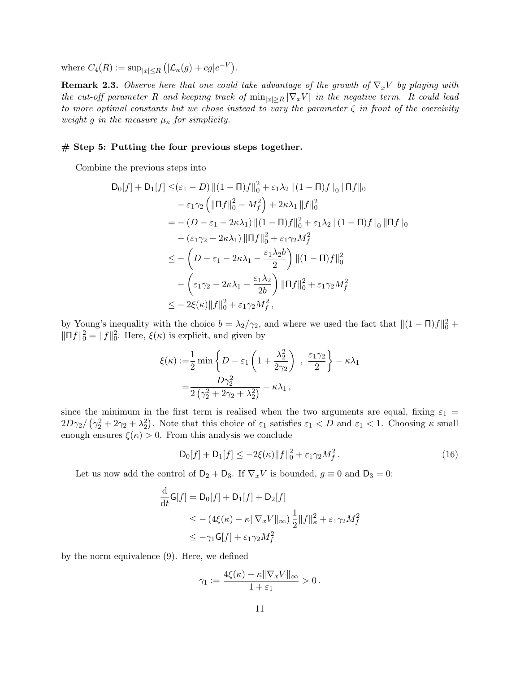where  $C_4(R) := \sup_{|x| \le R} (|\mathcal{L}_{\kappa}(g) + cg|e^{-V}).$ 

**Remark 2.3.** Observe here that one could take advantage of the growth of  $\nabla_x V$  by playing with the cut-off parameter R and keeping track of  $\min_{|x|\geq R} |\nabla_x V|$  in the negative term. It could lead to more optimal constants but we chose instead to vary the parameter  $\zeta$  in front of the coercivity weight g in the measure  $\mu_{\kappa}$  for simplicity.

#### # Step 5: Putting the four previous steps together.

Combine the previous steps into

$$
D_0[f] + D_1[f] \leq (\varepsilon_1 - D) ||(1 - \Pi)f||_0^2 + \varepsilon_1 \lambda_2 ||(1 - \Pi)f||_0 ||\Pi f||_0
$$
  
\n
$$
- \varepsilon_1 \gamma_2 \left( ||\Pi f||_0^2 - M_f^2 \right) + 2\kappa \lambda_1 ||f||_0^2
$$
  
\n
$$
= -(D - \varepsilon_1 - 2\kappa \lambda_1) ||(1 - \Pi)f||_0^2 + \varepsilon_1 \lambda_2 ||(1 - \Pi)f||_0 ||\Pi f||_0
$$
  
\n
$$
- (\varepsilon_1 \gamma_2 - 2\kappa \lambda_1) ||\Pi f||_0^2 + \varepsilon_1 \gamma_2 M_f^2
$$
  
\n
$$
\leq - \left( D - \varepsilon_1 - 2\kappa \lambda_1 - \frac{\varepsilon_1 \lambda_2 b}{2} \right) ||(1 - \Pi)f||_0^2
$$
  
\n
$$
- \left( \varepsilon_1 \gamma_2 - 2\kappa \lambda_1 - \frac{\varepsilon_1 \lambda_2}{2b} \right) ||\Pi f||_0^2 + \varepsilon_1 \gamma_2 M_f^2
$$
  
\n
$$
\leq - 2\xi(\kappa) ||f||_0^2 + \varepsilon_1 \gamma_2 M_f^2,
$$

by Young's inequality with the choice  $b = \lambda_2/\gamma_2$ , and where we used the fact that  $||(1 - \Pi)f||_0^2 +$  $\|\Pi f\|_0^2 = \|f\|_0^2$ . Here,  $\xi(\kappa)$  is explicit, and given by

$$
\xi(\kappa) := \frac{1}{2} \min \left\{ D - \varepsilon_1 \left( 1 + \frac{\lambda_2^2}{2\gamma_2} \right) , \frac{\varepsilon_1 \gamma_2}{2} \right\} - \kappa \lambda_1
$$

$$
= \frac{D\gamma_2^2}{2\left(\gamma_2^2 + 2\gamma_2 + \lambda_2^2\right)} - \kappa \lambda_1 ,
$$

since the minimum in the first term is realised when the two arguments are equal, fixing  $\varepsilon_1$  =  $2D\gamma_2/\left(\gamma_2^2+2\gamma_2+\lambda_2^2\right)$ . Note that this choice of  $\varepsilon_1$  satisfies  $\varepsilon_1 < D$  and  $\varepsilon_1 < 1$ . Choosing  $\kappa$  small enough ensures  $\xi(\kappa) > 0$ . From this analysis we conclude

$$
D_0[f] + D_1[f] \le -2\xi(\kappa) \|f\|_0^2 + \varepsilon_1 \gamma_2 M_f^2. \tag{16}
$$

Let us now add the control of  $D_2 + D_3$ . If  $\nabla_x V$  is bounded,  $g \equiv 0$  and  $D_3 = 0$ :

$$
\frac{\mathrm{d}}{\mathrm{d}t}\mathsf{G}[f] = \mathsf{D}_0[f] + \mathsf{D}_1[f] + \mathsf{D}_2[f]
$$
\n
$$
\leq -(4\xi(\kappa) - \kappa \|\nabla_x V\|_{\infty}) \frac{1}{2} \|f\|_{\kappa}^2 + \varepsilon_1 \gamma_2 M_f^2
$$
\n
$$
\leq -\gamma_1 \mathsf{G}[f] + \varepsilon_1 \gamma_2 M_f^2
$$

by the norm equivalence (9). Here, we defined

$$
\gamma_1 := \frac{4\xi(\kappa) - \kappa \|\nabla_x V\|_{\infty}}{1 + \varepsilon_1} > 0.
$$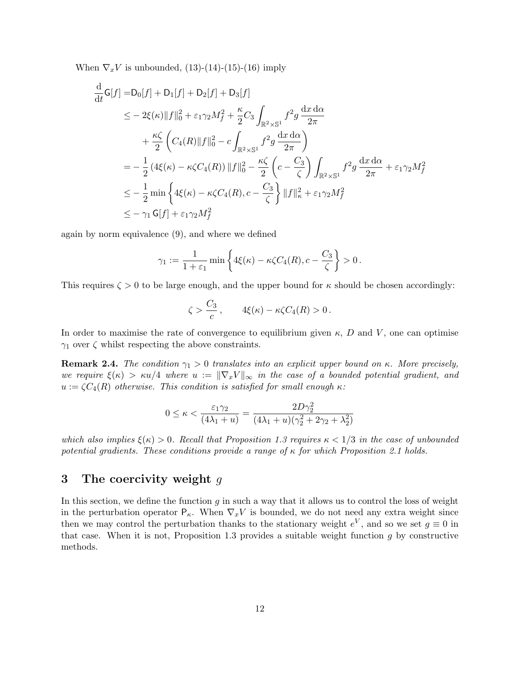When  $\nabla_x V$  is unbounded, (13)-(14)-(15)-(16) imply

$$
\frac{d}{dt}G[f] = D_0[f] + D_1[f] + D_2[f] + D_3[f] \n\leq -2\xi(\kappa) \|f\|_0^2 + \varepsilon_1 \gamma_2 M_f^2 + \frac{\kappa}{2} C_3 \int_{\mathbb{R}^2 \times \mathbb{S}^1} f^2 g \frac{dx \, d\alpha}{2\pi} \n+ \frac{\kappa \zeta}{2} \left( C_4(R) \|f\|_0^2 - c \int_{\mathbb{R}^2 \times \mathbb{S}^1} f^2 g \frac{dx \, d\alpha}{2\pi} \right) \n= -\frac{1}{2} (4\xi(\kappa) - \kappa \zeta C_4(R)) \|f\|_0^2 - \frac{\kappa \zeta}{2} \left( c - \frac{C_3}{\zeta} \right) \int_{\mathbb{R}^2 \times \mathbb{S}^1} f^2 g \frac{dx \, d\alpha}{2\pi} + \varepsilon_1 \gamma_2 M_f^2 \n\leq -\frac{1}{2} \min \left\{ 4\xi(\kappa) - \kappa \zeta C_4(R), c - \frac{C_3}{\zeta} \right\} \|f\|_{\kappa}^2 + \varepsilon_1 \gamma_2 M_f^2 \n\leq -\gamma_1 G[f] + \varepsilon_1 \gamma_2 M_f^2
$$

again by norm equivalence (9), and where we defined

$$
\gamma_1 := \frac{1}{1+\varepsilon_1} \min \left\{ 4\xi(\kappa) - \kappa \zeta C_4(R), c - \frac{C_3}{\zeta} \right\} > 0.
$$

This requires  $\zeta > 0$  to be large enough, and the upper bound for  $\kappa$  should be chosen accordingly:

$$
\zeta > \frac{C_3}{c}, \qquad 4\xi(\kappa) - \kappa \zeta C_4(R) > 0.
$$

In order to maximise the rate of convergence to equilibrium given  $\kappa$ , D and V, one can optimise  $\gamma_1$  over  $\zeta$  whilst respecting the above constraints.

**Remark 2.4.** The condition  $\gamma_1 > 0$  translates into an explicit upper bound on κ. More precisely, we require  $\xi(\kappa) > \kappa u/4$  where  $u := \|\nabla_x V\|_{\infty}$  in the case of a bounded potential gradient, and  $u := \zeta C_4(R)$  otherwise. This condition is satisfied for small enough  $\kappa$ :

$$
0 \le \kappa < \frac{\varepsilon_1 \gamma_2}{(4\lambda_1 + u)} = \frac{2D\gamma_2^2}{(4\lambda_1 + u)(\gamma_2^2 + 2\gamma_2 + \lambda_2^2)}
$$

which also implies  $\xi(\kappa) > 0$ . Recall that Proposition 1.3 requires  $\kappa < 1/3$  in the case of unbounded potential gradients. These conditions provide a range of  $\kappa$  for which Proposition 2.1 holds.

### 3 The coercivity weight  $q$

In this section, we define the function  $g$  in such a way that it allows us to control the loss of weight in the perturbation operator  $P_{\kappa}$ . When  $\nabla_x V$  is bounded, we do not need any extra weight since then we may control the perturbation thanks to the stationary weight  $e^V$ , and so we set  $g \equiv 0$  in that case. When it is not, Proposition 1.3 provides a suitable weight function  $g$  by constructive methods.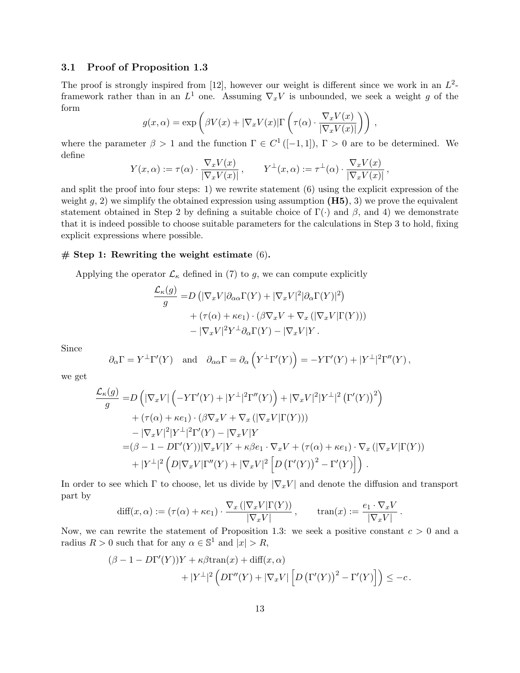#### 3.1 Proof of Proposition 1.3

The proof is strongly inspired from [12], however our weight is different since we work in an  $L^2$ framework rather than in an  $L^1$  one. Assuming  $\nabla_x V$  is unbounded, we seek a weight g of the form

$$
g(x, \alpha) = \exp\left(\beta V(x) + |\nabla_x V(x)| \Gamma\left(\tau(\alpha) \cdot \frac{\nabla_x V(x)}{|\nabla_x V(x)|}\right)\right),
$$

where the parameter  $\beta > 1$  and the function  $\Gamma \in C^1([-1,1])$ ,  $\Gamma > 0$  are to be determined. We define

$$
Y(x,\alpha) := \tau(\alpha) \cdot \frac{\nabla_x V(x)}{|\nabla_x V(x)|}, \qquad Y^{\perp}(x,\alpha) := \tau^{\perp}(\alpha) \cdot \frac{\nabla_x V(x)}{|\nabla_x V(x)|},
$$

and split the proof into four steps: 1) we rewrite statement (6) using the explicit expression of the weight g, 2) we simplify the obtained expression using assumption  $(H5)$ , 3) we prove the equivalent statement obtained in Step 2 by defining a suitable choice of  $\Gamma(\cdot)$  and  $\beta$ , and 4) we demonstrate that it is indeed possible to choose suitable parameters for the calculations in Step 3 to hold, fixing explicit expressions where possible.

#### $#$  Step 1: Rewriting the weight estimate  $(6)$ .

Applying the operator  $\mathcal{L}_{\kappa}$  defined in (7) to g, we can compute explicitly

$$
\frac{\mathcal{L}_{\kappa}(g)}{g} = D \left( |\nabla_x V| \partial_{\alpha \alpha} \Gamma(Y) + |\nabla_x V|^2 | \partial_{\alpha} \Gamma(Y) |^2 \right) \n+ (\tau(\alpha) + \kappa e_1) \cdot (\beta \nabla_x V + \nabla_x (|\nabla_x V| \Gamma(Y))) \n- |\nabla_x V|^2 Y^{\perp} \partial_{\alpha} \Gamma(Y) - |\nabla_x V| Y.
$$

Since

$$
\partial_{\alpha}\Gamma = Y^{\perp}\Gamma'(Y)
$$
 and  $\partial_{\alpha\alpha}\Gamma = \partial_{\alpha}\left(Y^{\perp}\Gamma'(Y)\right) = -Y\Gamma'(Y) + |Y^{\perp}|^2\Gamma''(Y)$ ,

we get

$$
\frac{\mathcal{L}_{\kappa}(g)}{g} = D\left(|\nabla_x V| \left(-Y\Gamma'(Y) + |Y^{\perp}|^2 \Gamma''(Y)\right) + |\nabla_x V|^2 |Y^{\perp}|^2 \left(\Gamma'(Y)\right)^2\right) \n+ (\tau(\alpha) + \kappa e_1) \cdot (\beta \nabla_x V + \nabla_x (|\nabla_x V| \Gamma(Y))) \n- |\nabla_x V|^2 |Y^{\perp}|^2 \Gamma'(Y) - |\nabla_x V|Y \n= (\beta - 1 - D\Gamma'(Y)) |\nabla_x V|Y + \kappa \beta e_1 \cdot \nabla_x V + (\tau(\alpha) + \kappa e_1) \cdot \nabla_x (|\nabla_x V| \Gamma(Y)) \n+ |Y^{\perp}|^2 \left(D|\nabla_x V| \Gamma''(Y) + |\nabla_x V|^2 \left[D\left(\Gamma'(Y)\right)^2 - \Gamma'(Y)\right]\right).
$$

In order to see which  $\Gamma$  to choose, let us divide by  $|\nabla_x V|$  and denote the diffusion and transport part by

$$
\text{diff}(x,\alpha) := (\tau(\alpha) + \kappa e_1) \cdot \frac{\nabla_x (|\nabla_x V| \Gamma(Y))}{|\nabla_x V|}, \qquad \text{tran}(x) := \frac{e_1 \cdot \nabla_x V}{|\nabla_x V|}.
$$

Now, we can rewrite the statement of Proposition 1.3: we seek a positive constant  $c > 0$  and a radius  $R > 0$  such that for any  $\alpha \in \mathbb{S}^1$  and  $|x| > R$ ,

$$
(\beta - 1 - D\Gamma'(Y))Y + \kappa \beta \text{tran}(x) + \text{diff}(x, \alpha)
$$

$$
+ |Y^{\perp}|^2 \left( D\Gamma''(Y) + |\nabla_x V| \left[ D\left( \Gamma'(Y) \right)^2 - \Gamma'(Y) \right] \right) \leq -c.
$$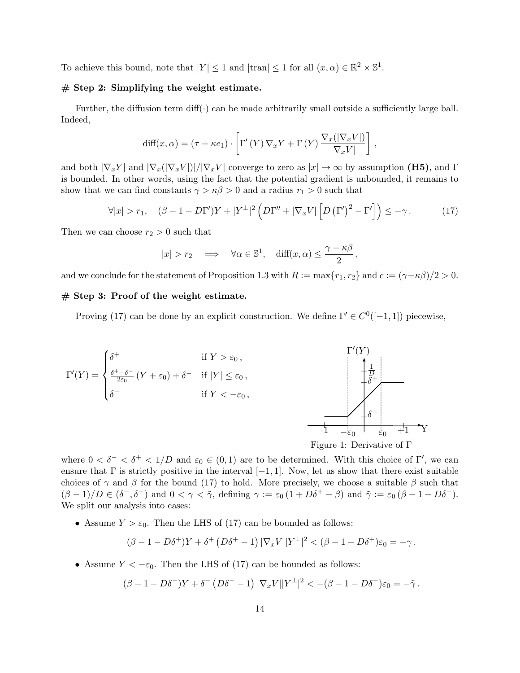To achieve this bound, note that  $|Y| \leq 1$  and  $|\text{tran}| \leq 1$  for all  $(x, \alpha) \in \mathbb{R}^2 \times \mathbb{S}^1$ .

#### $#$  Step 2: Simplifying the weight estimate.

Further, the diffusion term diff( $\cdot$ ) can be made arbitrarily small outside a sufficiently large ball. Indeed,

$$
\text{diff}(x,\alpha) = (\tau + \kappa e_1) \cdot \left[ \Gamma' \left( Y \right) \nabla_x Y + \Gamma \left( Y \right) \frac{\nabla_x (|\nabla_x V|)}{|\nabla_x V|} \right],
$$

and both  $|\nabla_x Y|$  and  $|\nabla_x (|\nabla_x V|)|/|\nabla_x V|$  converge to zero as  $|x| \to \infty$  by assumption (H5), and  $\Gamma$ is bounded. In other words, using the fact that the potential gradient is unbounded, it remains to show that we can find constants  $\gamma > \kappa \beta > 0$  and a radius  $r_1 > 0$  such that

$$
\forall |x| > r_1, \quad (\beta - 1 - D\Gamma')Y + |Y^{\perp}|^2 \left( D\Gamma'' + |\nabla_x V| \left[ D(\Gamma')^2 - \Gamma' \right] \right) \leq -\gamma. \tag{17}
$$

Then we can choose  $r_2 > 0$  such that

$$
|x| > r_2 \implies \forall \alpha \in \mathbb{S}^1, \text{ diff}(x, \alpha) \le \frac{\gamma - \kappa \beta}{2},
$$

and we conclude for the statement of Proposition 1.3 with  $R := \max\{r_1, r_2\}$  and  $c := (\gamma - \kappa \beta)/2 > 0$ .

#### $#$  Step 3: Proof of the weight estimate.

Proving (17) can be done by an explicit construction. We define  $\Gamma' \in C^0([-1, 1])$  piecewise,



where  $0 < \delta^{-} < \delta^{+} < 1/D$  and  $\varepsilon_0 \in (0,1)$  are to be determined. With this choice of  $\Gamma'$ , we can ensure that  $\Gamma$  is strictly positive in the interval  $[-1, 1]$ . Now, let us show that there exist suitable choices of  $\gamma$  and  $\beta$  for the bound (17) to hold. More precisely, we choose a suitable  $\beta$  such that  $(\beta - 1)/D \in (\delta^-, \delta^+)$  and  $0 < \gamma < \tilde{\gamma}$ , defining  $\gamma := \varepsilon_0 (1 + D\delta^+ - \beta)$  and  $\tilde{\gamma} := \varepsilon_0 (\beta - 1 - D\delta^-)$ . We split our analysis into cases:

• Assume  $Y > \varepsilon_0$ . Then the LHS of (17) can be bounded as follows:

$$
(\beta - 1 - D\delta^+)Y + \delta^+ (D\delta^+ - 1) |\nabla_x V||Y^\perp|^2 < (\beta - 1 - D\delta^+) \varepsilon_0 = -\gamma.
$$

• Assume  $Y < -\varepsilon_0$ . Then the LHS of (17) can be bounded as follows:

$$
(\beta - 1 - D\delta^{-})Y + \delta^{-} (D\delta^{-} - 1) |\nabla_x V||Y^{\perp}|^2 < -(\beta - 1 - D\delta^{-})\varepsilon_0 = -\tilde{\gamma}.
$$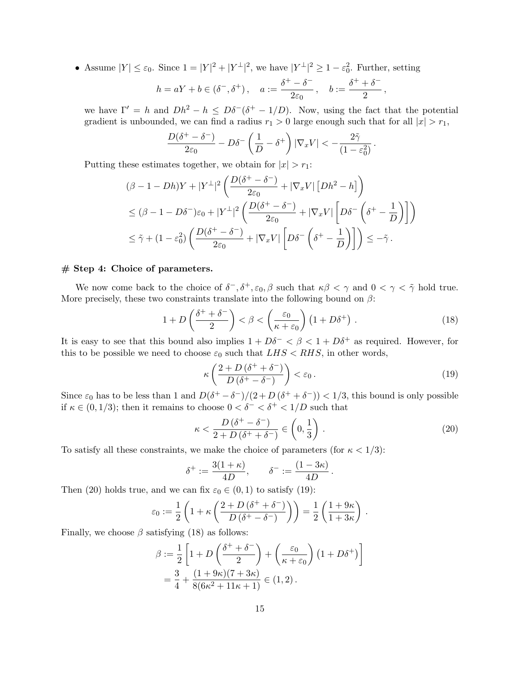• Assume  $|Y| \leq \varepsilon_0$ . Since  $1 = |Y|^2 + |Y^{\perp}|^2$ , we have  $|Y^{\perp}|^2 \geq 1 - \varepsilon_0^2$ . Further, setting

$$
h=aY+b\in (\delta^-,\delta^+)\,,\quad a:=\frac{\delta^+-\delta^-}{2\varepsilon_0}\,,\quad b:=\frac{\delta^++\delta^-}{2}\,,
$$

we have  $\Gamma' = h$  and  $Dh^2 - h \leq D\delta^-(\delta^+ - 1/D)$ . Now, using the fact that the potential gradient is unbounded, we can find a radius  $r_1 > 0$  large enough such that for all  $|x| > r_1$ ,

$$
\frac{D(\delta^+ - \delta^-)}{2\varepsilon_0} - D\delta^- \left(\frac{1}{D} - \delta^+\right) |\nabla_x V| < -\frac{2\tilde{\gamma}}{(1 - \varepsilon_0^2)}.
$$

Putting these estimates together, we obtain for  $|x| > r_1$ :

$$
\begin{split} &(\beta-1-Dh)Y+|Y^\perp|^2\left(\frac{D(\delta^+-\delta^-)}{2\varepsilon_0}+|\nabla_x V|\left[Dh^2-h\right]\right)\\ &\leq(\beta-1-D\delta^-)\varepsilon_0+|Y^\perp|^2\left(\frac{D(\delta^+-\delta^-)}{2\varepsilon_0}+|\nabla_x V|\left[D\delta^-\left(\delta^+-\frac{1}{D}\right)\right]\right)\\ &\leq\tilde\gamma+(1-\varepsilon_0^2)\left(\frac{D(\delta^+-\delta^-)}{2\varepsilon_0}+|\nabla_x V|\left[D\delta^-\left(\delta^+-\frac{1}{D}\right)\right]\right)\leq-\tilde\gamma\,. \end{split}
$$

#### # Step 4: Choice of parameters.

We now come back to the choice of  $\delta^-, \delta^+, \varepsilon_0, \beta$  such that  $\kappa\beta < \gamma$  and  $0 < \gamma < \tilde{\gamma}$  hold true. More precisely, these two constraints translate into the following bound on  $\beta$ :

$$
1 + D\left(\frac{\delta^+ + \delta^-}{2}\right) < \beta < \left(\frac{\varepsilon_0}{\kappa + \varepsilon_0}\right) \left(1 + D\delta^+\right) \,. \tag{18}
$$

It is easy to see that this bound also implies  $1 + D\delta^- < \beta < 1 + D\delta^+$  as required. However, for this to be possible we need to choose  $\varepsilon_0$  such that  $LHS < RHS$ , in other words,

$$
\kappa \left( \frac{2+D(\delta^+ + \delta^-)}{D(\delta^+ - \delta^-)} \right) < \varepsilon_0 \,. \tag{19}
$$

Since  $\varepsilon_0$  has to be less than 1 and  $D(\delta^+ - \delta^-)/(2 + D(\delta^+ + \delta^-)) < 1/3$ , this bound is only possible if  $\kappa \in (0, 1/3)$ ; then it remains to choose  $0 < \delta^- < \delta^+ < 1/D$  such that

$$
\kappa < \frac{D\left(\delta^{+} - \delta^{-}\right)}{2 + D\left(\delta^{+} + \delta^{-}\right)} \in \left(0, \frac{1}{3}\right) \,. \tag{20}
$$

To satisfy all these constraints, we make the choice of parameters (for  $\kappa < 1/3$ ):

$$
\delta^+ := \frac{3(1+\kappa)}{4D}, \qquad \delta^- := \frac{(1-3\kappa)}{4D}.
$$

Then (20) holds true, and we can fix  $\varepsilon_0 \in (0,1)$  to satisfy (19):

$$
\varepsilon_0 := \frac{1}{2} \left( 1 + \kappa \left( \frac{2 + D \left( \delta^+ + \delta^- \right)}{D \left( \delta^+ - \delta^- \right)} \right) \right) = \frac{1}{2} \left( \frac{1 + 9\kappa}{1 + 3\kappa} \right) .
$$

Finally, we choose  $\beta$  satisfying (18) as follows:

$$
\beta := \frac{1}{2} \left[ 1 + D \left( \frac{\delta^+ + \delta^-}{2} \right) + \left( \frac{\varepsilon_0}{\kappa + \varepsilon_0} \right) \left( 1 + D \delta^+ \right) \right]
$$
  
=  $\frac{3}{4} + \frac{(1 + 9\kappa)(7 + 3\kappa)}{8(6\kappa^2 + 11\kappa + 1)} \in (1, 2).$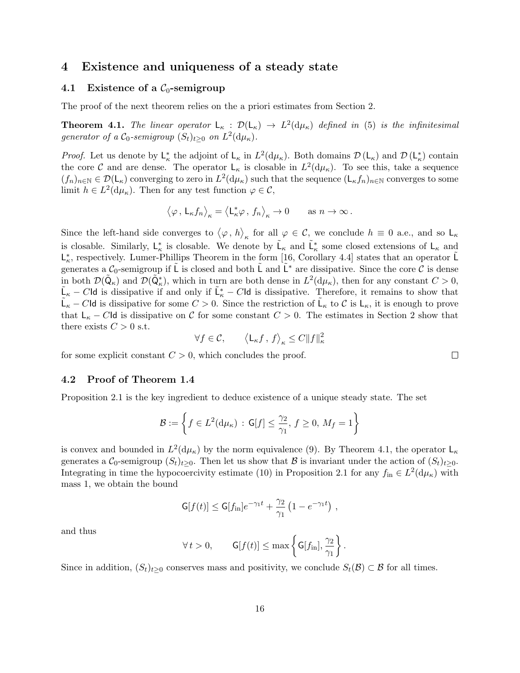## 4 Existence and uniqueness of a steady state

#### 4.1 Existence of a  $C_0$ -semigroup

The proof of the next theorem relies on the a priori estimates from Section 2.

**Theorem 4.1.** The linear operator  $L_{\kappa}$  :  $\mathcal{D}(L_{\kappa}) \to L^2(d\mu_{\kappa})$  defined in (5) is the infinitesimal generator of a  $C_0$ -semigroup  $(S_t)_{t\geq 0}$  on  $L^2(\mathrm{d}\mu_\kappa)$ .

*Proof.* Let us denote by  $L^*_{\kappa}$  the adjoint of  $L_{\kappa}$  in  $L^2(d\mu_{\kappa})$ . Both domains  $\mathcal{D} (L_{\kappa})$  and  $\mathcal{D} (L^*_{\kappa})$  contain the core C and are dense. The operator  $\mathsf{L}_{\kappa}$  is closable in  $L^2(\mathrm{d}\mu_{\kappa})$ . To see this, take a sequence  $(f_n)_{n\in\mathbb{N}}\in\mathcal{D}(\mathsf{L}_{\kappa})$  converging to zero in  $L^2(\mathrm{d}\mu_{\kappa})$  such that the sequence  $(\mathsf{L}_{\kappa}f_n)_{n\in\mathbb{N}}$  converges to some limit  $h \in L^2(\mathrm{d}\mu_\kappa)$ . Then for any test function  $\varphi \in \mathcal{C}$ ,

$$
\left\langle \varphi \, , \, {\mathsf L}_\kappa f_n \right\rangle_\kappa = \left\langle {\mathsf L}_\kappa^* \varphi \, , \, f_n \right\rangle_\kappa \to 0 \qquad \text{as } n \to \infty \, .
$$

Since the left-hand side converges to  $\langle \varphi, h \rangle_{\kappa}$  for all  $\varphi \in \mathcal{C}$ , we conclude  $h \equiv 0$  a.e., and so  $\mathsf{L}_{\kappa}$ is closable. Similarly,  $L^*_{\kappa}$  is closable. We denote by  $\tilde{L}_{\kappa}$  and  $\tilde{L}^*_{\kappa}$  some closed extensions of  $L_{\kappa}$  and  $\mathsf{L}_{\kappa}^{*}$ , respectively. Lumer-Phillips Theorem in the form [16, Corollary 4.4] states that an operator  $\tilde{\mathsf{L}}$ generates a  $C_0$ -semigroup if L is closed and both L and L<sup>∗</sup> are dissipative. Since the core C is dense in both  $\mathcal{D}(\tilde{\mathsf{Q}}_{\kappa})$  and  $\mathcal{D}(\tilde{\mathsf{Q}}_{\kappa}^{*})$ , which in turn are both dense in  $L^2(\mathrm{d}\mu_{\kappa})$ , then for any constant  $C>0$ ,  $\tilde{\mathsf{L}}_{\kappa} - C\mathsf{Id}$  is dissipative if and only if  $\tilde{\mathsf{L}}_{\kappa}^* - C\mathsf{Id}$  is dissipative. Therefore, it remains to show that  $\tilde{\mathsf{L}}_{\kappa} - C \mathsf{Id}$  is dissipative for some  $C > 0$ . Since the restriction of  $\tilde{\mathsf{L}}_{\kappa}$  to C is  $\mathsf{L}_{\kappa}$ , it is enough to prove that  $L_{\kappa} - C I d$  is dissipative on C for some constant  $C > 0$ . The estimates in Section 2 show that there exists  $C > 0$  s.t.

$$
\forall f \in \mathcal{C}, \qquad \left\langle \mathsf{L}_{\kappa} f \, , \, f \right\rangle_{\kappa} \leq C \|f\|_{\kappa}^2
$$

for some explicit constant  $C > 0$ , which concludes the proof.

#### 4.2 Proof of Theorem 1.4

Proposition 2.1 is the key ingredient to deduce existence of a unique steady state. The set

$$
\mathcal{B} := \left\{ f \in L^2(\mathrm{d}\mu_\kappa) \, : \, \mathsf{G}[f] \le \frac{\gamma_2}{\gamma_1}, \, f \ge 0, \, M_f = 1 \right\}
$$

is convex and bounded in  $L^2(d\mu_{\kappa})$  by the norm equivalence (9). By Theorem 4.1, the operator  $\mathsf{L}_{\kappa}$ generates a  $\mathcal{C}_0$ -semigroup  $(S_t)_{t>0}$ . Then let us show that B is invariant under the action of  $(S_t)_{t>0}$ . Integrating in time the hypocoercivity estimate (10) in Proposition 2.1 for any  $f_{\text{in}} \in L^2(\mathrm{d}\mu_\kappa)$  with mass 1, we obtain the bound

$$
\mathsf{G}[f(t)] \leq \mathsf{G}[f_{\rm in}]e^{-\gamma_1 t} + \frac{\gamma_2}{\gamma_1} \left(1 - e^{-\gamma_1 t}\right) ,
$$

and thus

$$
\forall t > 0, \qquad \mathsf{G}[f(t)] \leq \max\left\{\mathsf{G}[f_{\text{in}}], \frac{\gamma_2}{\gamma_1}\right\}.
$$

Since in addition,  $(S_t)_{t>0}$  conserves mass and positivity, we conclude  $S_t(\mathcal{B}) \subset \mathcal{B}$  for all times.

 $\Box$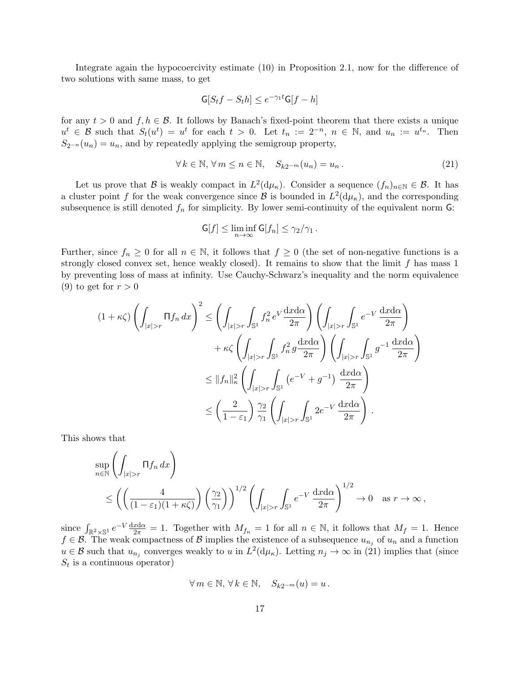Integrate again the hypocoercivity estimate (10) in Proposition 2.1, now for the difference of two solutions with same mass, to get

$$
\mathsf{G}[S_t f - S_t h] \le e^{-\gamma_1 t} \mathsf{G}[f - h]
$$

for any  $t > 0$  and  $f, h \in \mathcal{B}$ . It follows by Banach's fixed-point theorem that there exists a unique  $u^t \in \mathcal{B}$  such that  $S_t(u^t) = u^t$  for each  $t > 0$ . Let  $t_n := 2^{-n}$ ,  $n \in \mathbb{N}$ , and  $u_n := u^{t_n}$ . Then  $S_{2^{-n}}(u_n) = u_n$ , and by repeatedly applying the semigroup property,

$$
\forall k \in \mathbb{N}, \forall m \le n \in \mathbb{N}, \quad S_{k2^{-m}}(u_n) = u_n. \tag{21}
$$

Let us prove that B is weakly compact in  $L^2(\mathrm{d}\mu_\kappa)$ . Consider a sequence  $(f_n)_{n\in\mathbb{N}}\in\mathcal{B}$ . It has a cluster point f for the weak convergence since  $\mathcal B$  is bounded in  $L^2(\mathrm{d}\mu_{\kappa})$ , and the corresponding subsequence is still denoted  $f_n$  for simplicity. By lower semi-continuity of the equivalent norm  $G$ :

$$
\mathsf{G}[f] \leq \liminf_{n \to \infty} \mathsf{G}[f_n] \leq \gamma_2/\gamma_1 \,.
$$

Further, since  $f_n \geq 0$  for all  $n \in \mathbb{N}$ , it follows that  $f \geq 0$  (the set of non-negative functions is a strongly closed convex set, hence weakly closed). It remains to show that the limit  $f$  has mass 1 by preventing loss of mass at infinity. Use Cauchy-Schwarz's inequality and the norm equivalence (9) to get for  $r > 0$ 

$$
(1 + \kappa \zeta) \left( \int_{|x|>r} \Pi f_n \, dx \right)^2 \le \left( \int_{|x|>r} \int_{\mathbb{S}^1} f_n^2 \, e^V \frac{dx d\alpha}{2\pi} \right) \left( \int_{|x|>r} \int_{\mathbb{S}^1} e^{-V} \frac{dx d\alpha}{2\pi} \right) + \kappa \zeta \left( \int_{|x|>r} \int_{\mathbb{S}^1} f_n^2 \, g \frac{dx d\alpha}{2\pi} \right) \left( \int_{|x|>r} \int_{\mathbb{S}^1} g^{-1} \frac{dx d\alpha}{2\pi} \right) \le \|f_n\|_{\kappa}^2 \left( \int_{|x|>r} \int_{\mathbb{S}^1} \left( e^{-V} + g^{-1} \right) \frac{dx d\alpha}{2\pi} \right) \le \left( \frac{2}{1 - \varepsilon_1} \right) \frac{\gamma_2}{\gamma_1} \left( \int_{|x|>r} \int_{\mathbb{S}^1} 2e^{-V} \frac{dx d\alpha}{2\pi} \right).
$$

This shows that

$$
\sup_{n \in \mathbb{N}} \left( \int_{|x|>r} \Pi f_n \, dx \right)
$$
  
\$\leq \left( \left( \frac{4}{(1-\varepsilon\_1)(1+\kappa \zeta)} \right) \left( \frac{\gamma\_2}{\gamma\_1} \right) \right)^{1/2} \left( \int\_{|x|>r} \int\_{\mathbb{S}^1} e^{-V} \, \frac{\mathrm{d}x \mathrm{d}\alpha}{2\pi} \right)^{1/2} \to 0 \quad \text{as } r \to \infty\$,

since  $\int_{\mathbb{R}^2 \times \mathbb{S}^1} e^{-V} \frac{dx d\alpha}{2\pi} = 1$ . Together with  $M_{f_n} = 1$  for all  $n \in \mathbb{N}$ , it follows that  $M_f = 1$ . Hence  $f \in \mathcal{B}$ . The weak compactness of  $\mathcal{B}$  implies the existence of a subsequence  $u_{n_j}$  of  $u_n$  and a function  $u \in \mathcal{B}$  such that  $u_{n_j}$  converges weakly to u in  $L^2(\mathrm{d}\mu_\kappa)$ . Letting  $n_j \to \infty$  in (21) implies that (since  $S_t$  is a continuous operator)

$$
\forall m \in \mathbb{N}, \, \forall k \in \mathbb{N}, \quad S_{k2^{-m}}(u) = u \, .
$$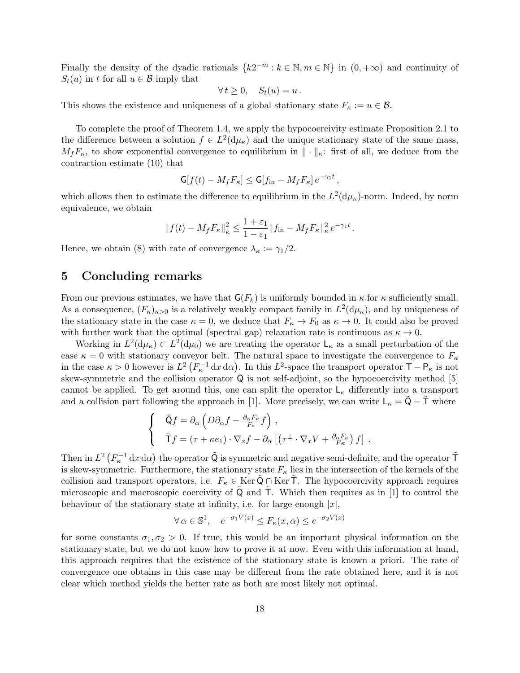Finally the density of the dyadic rationals  ${k2^{-m} : k \in \mathbb{N}, m \in \mathbb{N}}$  in  $(0, +\infty)$  and continuity of  $S_t(u)$  in t for all  $u \in \mathcal{B}$  imply that

$$
\forall t \geq 0, \quad S_t(u) = u.
$$

This shows the existence and uniqueness of a global stationary state  $F_{\kappa} := u \in \mathcal{B}$ .

To complete the proof of Theorem 1.4, we apply the hypocoercivity estimate Proposition 2.1 to the difference between a solution  $f \in L^2(\mathrm{d}\mu_\kappa)$  and the unique stationary state of the same mass,  $M_fF_\kappa$ , to show exponential convergence to equilibrium in  $\|\cdot\|_{\kappa}$ : first of all, we deduce from the contraction estimate (10) that

$$
\mathsf{G}[f(t) - M_f F_\kappa] \leq \mathsf{G}[f_{\rm in} - M_f F_\kappa] e^{-\gamma_1 t},
$$

which allows then to estimate the difference to equilibrium in the  $L^2(\mathrm{d}\mu_{\kappa})$ -norm. Indeed, by norm equivalence, we obtain

$$
||f(t) - M_f F_{\kappa}||_{\kappa}^2 \le \frac{1+\varepsilon_1}{1-\varepsilon_1} ||f_{\rm in} - M_f F_{\kappa}||_{\kappa}^2 e^{-\gamma_1 t}.
$$

Hence, we obtain (8) with rate of convergence  $\lambda_{\kappa} := \gamma_1/2$ .

# 5 Concluding remarks

From our previous estimates, we have that  $G(F_k)$  is uniformly bounded in  $\kappa$  for  $\kappa$  sufficiently small. As a consequence,  $(F_{\kappa})_{\kappa>0}$  is a relatively weakly compact family in  $L^2(\mathrm{d}\mu_{\kappa})$ , and by uniqueness of the stationary state in the case  $\kappa = 0$ , we deduce that  $F_{\kappa} \to F_0$  as  $\kappa \to 0$ . It could also be proved with further work that the optimal (spectral gap) relaxation rate is continuous as  $\kappa \to 0$ .

Working in  $L^2(\mathrm{d}\mu_{\kappa}) \subset L^2(\mathrm{d}\mu_0)$  we are treating the operator  $\mathsf{L}_{\kappa}$  as a small perturbation of the case  $\kappa = 0$  with stationary conveyor belt. The natural space to investigate the convergence to  $F_{\kappa}$ in the case  $\kappa > 0$  however is  $L^2(F_{\kappa}^{-1} dx d\alpha)$ . In this  $L^2$ -space the transport operator  $\mathsf{T} - \mathsf{P}_{\kappa}$  is not skew-symmetric and the collision operator Q is not self-adjoint, so the hypocoercivity method [5] cannot be applied. To get around this, one can split the operator  $L_{\kappa}$  differently into a transport and a collision part following the approach in [1]. More precisely, we can write  $L_{\kappa} = Q - T$  where

$$
\begin{cases}\n\tilde{Q}f = \partial_{\alpha} \left( D\partial_{\alpha}f - \frac{\partial_{\alpha}F_{\kappa}}{F_{\kappa}}f \right), \\
\tilde{T}f = (\tau + \kappa e_1) \cdot \nabla_x f - \partial_{\alpha} \left[ \left( \tau^{\perp} \cdot \nabla_x V + \frac{\partial_{\alpha}F_{\kappa}}{F_{\kappa}} \right) f \right].\n\end{cases}
$$

Then in  $L^2\left(F_\kappa^{-1}\,\mathrm{d} x\,\mathrm{d}\alpha\right)$  the operator  $\tilde{\mathsf{Q}}$  is symmetric and negative semi-definite, and the operator  $\tilde{\mathsf{T}}$ is skew-symmetric. Furthermore, the stationary state  $F_{\kappa}$  lies in the intersection of the kernels of the collision and transport operators, i.e.  $F_{\kappa} \in \text{Ker } \mathsf{Q} \cap \text{Ker } \mathsf{T}$ . The hypocoercivity approach requires microscopic and macroscopic coercivity of  $Q$  and  $T$ . Which then requires as in [1] to control the behaviour of the stationary state at infinity, i.e. for large enough  $|x|$ ,

$$
\forall \alpha \in \mathbb{S}^1, \quad e^{-\sigma_1 V(x)} \le F_\kappa(x, \alpha) \le e^{-\sigma_2 V(x)}
$$

for some constants  $\sigma_1, \sigma_2 > 0$ . If true, this would be an important physical information on the stationary state, but we do not know how to prove it at now. Even with this information at hand, this approach requires that the existence of the stationary state is known a priori. The rate of convergence one obtains in this case may be different from the rate obtained here, and it is not clear which method yields the better rate as both are most likely not optimal.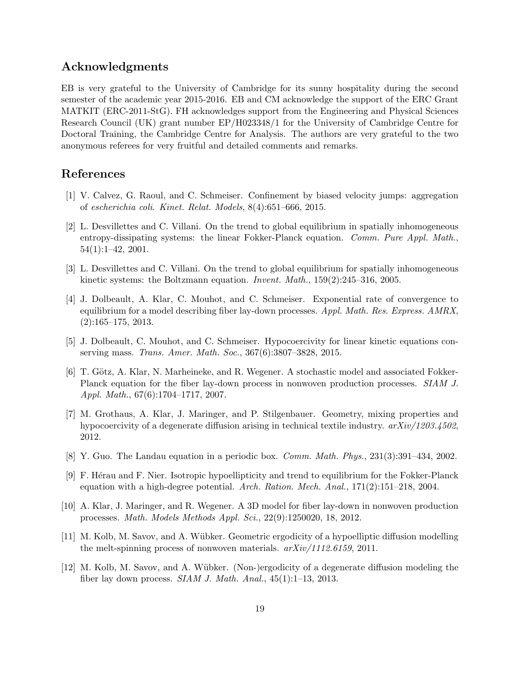# Acknowledgments

EB is very grateful to the University of Cambridge for its sunny hospitality during the second semester of the academic year 2015-2016. EB and CM acknowledge the support of the ERC Grant MATKIT (ERC-2011-StG). FH acknowledges support from the Engineering and Physical Sciences Research Council (UK) grant number EP/H023348/1 for the University of Cambridge Centre for Doctoral Training, the Cambridge Centre for Analysis. The authors are very grateful to the two anonymous referees for very fruitful and detailed comments and remarks.

# References

- [1] V. Calvez, G. Raoul, and C. Schmeiser. Confinement by biased velocity jumps: aggregation of escherichia coli. Kinet. Relat. Models, 8(4):651–666, 2015.
- [2] L. Desvillettes and C. Villani. On the trend to global equilibrium in spatially inhomogeneous entropy-dissipating systems: the linear Fokker-Planck equation. Comm. Pure Appl. Math., 54(1):1–42, 2001.
- [3] L. Desvillettes and C. Villani. On the trend to global equilibrium for spatially inhomogeneous kinetic systems: the Boltzmann equation. Invent. Math., 159(2):245–316, 2005.
- [4] J. Dolbeault, A. Klar, C. Mouhot, and C. Schmeiser. Exponential rate of convergence to equilibrium for a model describing fiber lay-down processes. Appl. Math. Res. Express. AMRX, (2):165–175, 2013.
- [5] J. Dolbeault, C. Mouhot, and C. Schmeiser. Hypocoercivity for linear kinetic equations conserving mass. Trans. Amer. Math. Soc., 367(6):3807–3828, 2015.
- [6] T. Götz, A. Klar, N. Marheineke, and R. Wegener. A stochastic model and associated Fokker-Planck equation for the fiber lay-down process in nonwoven production processes. SIAM J. Appl. Math., 67(6):1704–1717, 2007.
- [7] M. Grothaus, A. Klar, J. Maringer, and P. Stilgenbauer. Geometry, mixing properties and hypocoercivity of a degenerate diffusion arising in technical textile industry.  $arXiv/1203.4502$ , 2012.
- [8] Y. Guo. The Landau equation in a periodic box. Comm. Math. Phys., 231(3):391–434, 2002.
- [9] F. H´erau and F. Nier. Isotropic hypoellipticity and trend to equilibrium for the Fokker-Planck equation with a high-degree potential. Arch. Ration. Mech. Anal., 171(2):151–218, 2004.
- [10] A. Klar, J. Maringer, and R. Wegener. A 3D model for fiber lay-down in nonwoven production processes. Math. Models Methods Appl. Sci., 22(9):1250020, 18, 2012.
- [11] M. Kolb, M. Savov, and A. Wübker. Geometric ergodicity of a hypoelliptic diffusion modelling the melt-spinning process of nonwoven materials. arXiv/1112.6159, 2011.
- [12] M. Kolb, M. Savov, and A. Wübker. (Non-)ergodicity of a degenerate diffusion modeling the fiber lay down process. SIAM J. Math. Anal., 45(1):1–13, 2013.